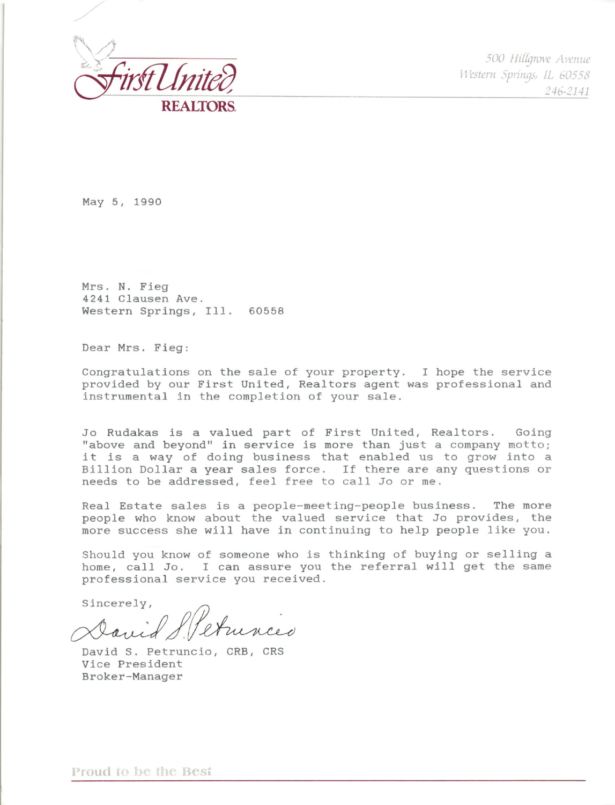

500 Hillgrove Avenue Western Springs, IL 60558 246-2141

May 5, 1990

Mrs. N. Fieg 4241 Clausen Ave. Western Springs, Ill. 60558

Dear Mrs. Fieg:

Congratulations on the sale of your property. I hope the service provided by our First United, Realtors agent was professional and instrumental in the completion of your sale.

Jo Rudakas is a valued part of First United, Realtors. Going "above and beyond" in service is more than just a company motto; it is a way of doing business that enabled us to grow into a Billion Dollar a year sales force. If there are any questions or needs to be addressed, feel free to call Jo or me.

Real Estate sales is a people-meeting-people business. The more people who know about the valued service that Jo provides, the more success she will have in continuing to help people like you.

Should you know of someone who is thinking of buying or selling a home, call Jo. I can assure you the referral will get the same professional service you received.

Sincerely,

arried S. Pet

David S. Petruncio, CRB, CRS Vice President Broker-Manager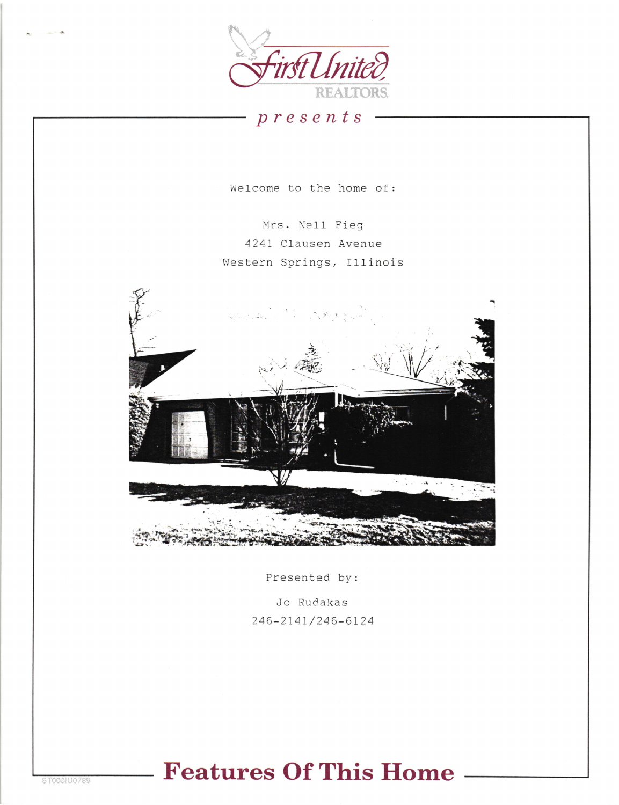

 $p$ resents

Welcome to the home of:

Mrs. Nell Fieg 4241 Clausen Avenue Western Springs, Illinois



Presented by:

Jo Rudakas 246-2141/246-6124

## **Features Of This Home**